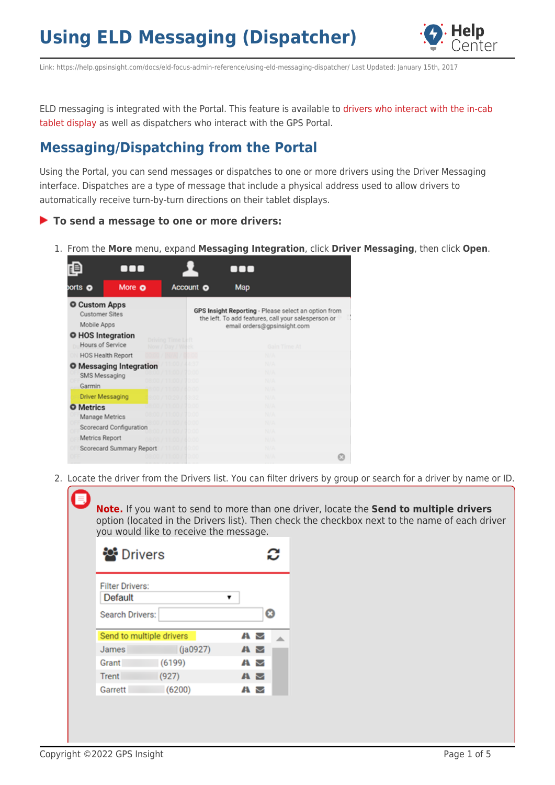

Link: https://help.gpsinsight.com/docs/eld-focus-admin-reference/using-eld-messaging-dispatcher/ Last Updated: January 15th, 2017

ELD messaging is integrated with the Portal. This feature is available to [drivers who interact with the in-cab](https://help.gpsinsight.com/docs/about-hours-of-service/driver-reference/using-eld-messaging-driver/) [tablet display](https://help.gpsinsight.com/docs/about-hours-of-service/driver-reference/using-eld-messaging-driver/) as well as dispatchers who interact with the GPS Portal.

#### **Messaging/Dispatching from the Portal**

Using the Portal, you can send messages or dispatches to one or more drivers using the Driver Messaging interface. Dispatches are a type of message that include a physical address used to allow drivers to automatically receive turn-by-turn directions on their tablet displays.

#### **To send a message to one or more drivers:**

1. From the **More** menu, expand **Messaging Integration**, click **Driver Messaging**, then click **Open**.



2. Locate the driver from the Drivers list. You can filter drivers by group or search for a driver by name or ID.

**Note.** If you want to send to more than one driver, locate the **Send to multiple drivers** option (located in the Drivers list). Then check the checkbox next to the name of each driver you would like to receive the message.

| <b>Drivers</b>                                              |                          |                |  |  |  |  |  |  |  |  |
|-------------------------------------------------------------|--------------------------|----------------|--|--|--|--|--|--|--|--|
| <b>Filter Drivers:</b><br>Default<br><b>Search Drivers:</b> |                          |                |  |  |  |  |  |  |  |  |
|                                                             |                          |                |  |  |  |  |  |  |  |  |
|                                                             | Send to multiple drivers | AN M           |  |  |  |  |  |  |  |  |
| James                                                       | (ia0927)                 | $\blacksquare$ |  |  |  |  |  |  |  |  |
| Grant                                                       | (6199)                   | A M            |  |  |  |  |  |  |  |  |
| Trent                                                       | (927)                    | A M            |  |  |  |  |  |  |  |  |
| Garrett                                                     | (6200)                   | AN M           |  |  |  |  |  |  |  |  |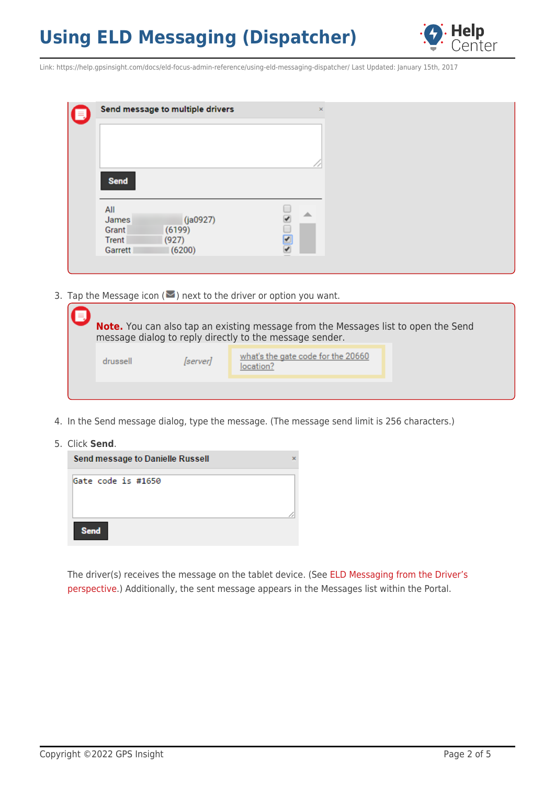

Link: https://help.gpsinsight.com/docs/eld-focus-admin-reference/using-eld-messaging-dispatcher/ Last Updated: January 15th, 2017

| (E, | Send message to multiple drivers                  | $\mathsf{x}$ |
|-----|---------------------------------------------------|--------------|
|     |                                                   |              |
|     |                                                   |              |
|     | Send                                              |              |
|     |                                                   |              |
|     | All<br>(ja0927)<br>James<br>(6199)<br>Grant       | △            |
|     | <b>Trent</b><br>(927)<br>(6200)<br><b>Garrett</b> | ✔            |
|     |                                                   |              |

3. Tap the Message icon ( $\blacktriangleright$ ) next to the driver or option you want.

|          |                 | <b>Note.</b> You can also tap an existing message from the Messages list to open the Send<br>message dialog to reply directly to the message sender. |  |
|----------|-----------------|------------------------------------------------------------------------------------------------------------------------------------------------------|--|
| drussell | <i>[server]</i> | what's the gate code for the 20660<br>location?                                                                                                      |  |
|          |                 |                                                                                                                                                      |  |

- 4. In the Send message dialog, type the message. (The message send limit is 256 characters.)
- 5. Click **Send**.

| Send message to Danielle Russell | × |
|----------------------------------|---|
| Gate code is #1650               |   |
| <b>Send</b>                      |   |

The driver(s) receives the message on the tablet device. (See [ELD Messaging from the Driver's](https://help.gpsinsight.com/docs/about-hours-of-service/driver-reference/using-eld-messaging-driver/) [perspective](https://help.gpsinsight.com/docs/about-hours-of-service/driver-reference/using-eld-messaging-driver/).) Additionally, the sent message appears in the Messages list within the Portal.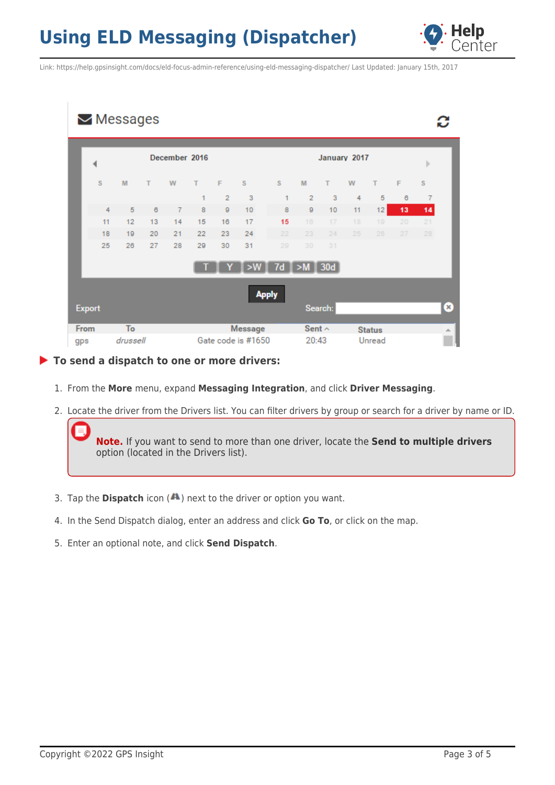

Link: https://help.gpsinsight.com/docs/eld-focus-admin-reference/using-eld-messaging-dispatcher/ Last Updated: January 15th, 2017

|               |    | $\blacktriangleright$ Messages |    |               |    |                |                    |              |                 |         |    |               |                 |    |              |
|---------------|----|--------------------------------|----|---------------|----|----------------|--------------------|--------------|-----------------|---------|----|---------------|-----------------|----|--------------|
|               |    |                                |    | December 2016 |    |                |                    | January 2017 |                 |         |    |               |                 |    |              |
|               | S  | M                              | т  | W             | т  | F              | s                  | s            | M               | т       | W  | т             | F               | S  |              |
|               |    |                                |    |               | 1  | $\overline{2}$ | 3                  | 1            | $\overline{2}$  | 3       | 4  | 5             | 6               | 7  |              |
|               | 4  | 5                              | 6  | 7             | 8  | 9              | 10                 | 8            | 9               | 10      | 11 | 12            | 13              | 14 |              |
|               | 11 | 12                             | 13 | 14            | 15 | 16             | 17                 | 15           | 16              | 17      | 18 | 19            | 20 <sub>1</sub> | 21 |              |
|               | 18 | 19                             | 20 | 21            | 22 | 23             | 24                 | 22           | 23              | 24      | 25 | 26            | 27              | 28 |              |
|               | 25 | 26                             | 27 | 28            | 29 | 30             | 31                 | 29           | 30              | 31      |    |               |                 |    |              |
|               |    |                                |    |               |    |                | > 1                | 7d           | $\sqrt{>M}$ 30d |         |    |               |                 |    |              |
|               |    |                                |    |               |    |                |                    | <b>Apply</b> |                 |         |    |               |                 |    |              |
| <b>Export</b> |    |                                |    |               |    |                |                    |              |                 | Search: |    |               |                 |    | $\mathbf{x}$ |
| From          |    | To                             |    |               |    |                | <b>Message</b>     |              | Sent $\sim$     |         |    | <b>Status</b> |                 |    | ∸            |
| gps           |    | drussell                       |    |               |    |                | Gate code is #1650 |              | 20:43           |         |    | Unread        |                 |    |              |

**To send a dispatch to one or more drivers:**

- 1. From the **More** menu, expand **Messaging Integration**, and click **Driver Messaging**.
- 2. Locate the driver from the Drivers list. You can filter drivers by group or search for a driver by name or ID.

**Note.** If you want to send to more than one driver, locate the **Send to multiple drivers** option (located in the Drivers list).

- 3. Tap the **Dispatch** icon (A) next to the driver or option you want.
- 4. In the Send Dispatch dialog, enter an address and click **Go To**, or click on the map.
- 5. Enter an optional note, and click **Send Dispatch**.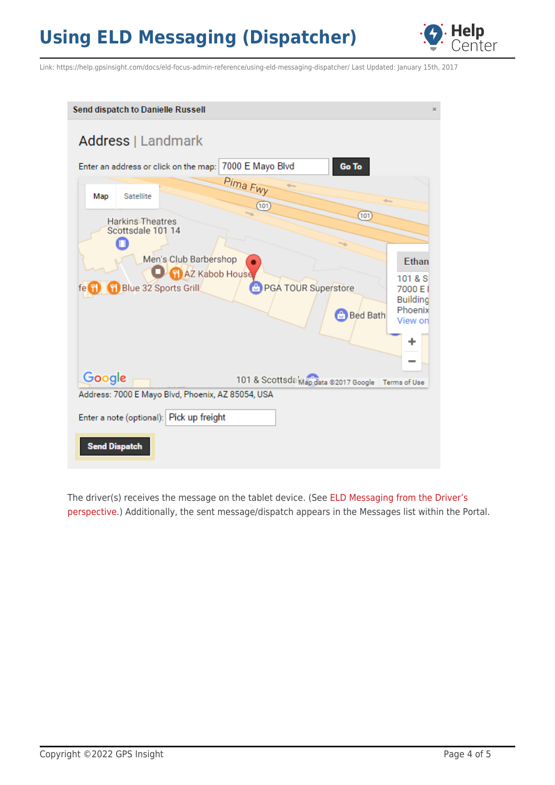

Link: https://help.gpsinsight.com/docs/eld-focus-admin-reference/using-eld-messaging-dispatcher/ Last Updated: January 15th, 2017

| Send dispatch to Danielle Russell                                                                                                                                                                                                                                                    | × |
|--------------------------------------------------------------------------------------------------------------------------------------------------------------------------------------------------------------------------------------------------------------------------------------|---|
| Address   Landmark                                                                                                                                                                                                                                                                   |   |
| 7000 E Mayo Blvd<br>Go To<br>Enter an address or click on the map:                                                                                                                                                                                                                   |   |
| Pima Fwy<br>Map<br><b>Satellite</b>                                                                                                                                                                                                                                                  |   |
| 101<br>(101)<br><b>Harkins Theatres</b><br>Scottsdale 101 14<br>Men's Club Barbershop<br>Ethan<br><b>DET AZ Kabob House</b><br>101 & S<br><b>C</b> PGA TOUR Superstore<br>Blue 32 Sports Grill<br>7000 E I<br>fe "I<br><b>Building</b><br>Phoenix<br><b>Bed Bath</b><br>View on<br>٠ |   |
| Google<br>101 & Scottsda Map data @2017 Google   Terms of Use                                                                                                                                                                                                                        |   |
| Address: 7000 E Mayo Blvd, Phoenix, AZ 85054, USA<br>Enter a note (optional): Pick up freight<br><b>Send Dispatch</b>                                                                                                                                                                |   |

The driver(s) receives the message on the tablet device. (See [ELD Messaging from the Driver's](https://help.gpsinsight.com/docs/about-hours-of-service/driver-reference/using-eld-messaging-driver/) [perspective](https://help.gpsinsight.com/docs/about-hours-of-service/driver-reference/using-eld-messaging-driver/).) Additionally, the sent message/dispatch appears in the Messages list within the Portal.